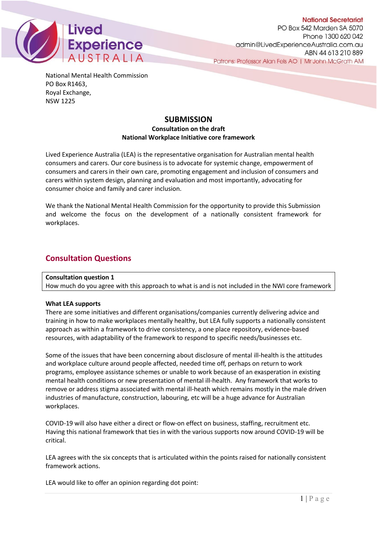

**National Secretariat** PO Box 542 Marden SA 5070 Phone 1300 620 042 admin@LivedExperienceAustralia.com.au ABN 44 613 210 889 Patrons: Professor Alan Fels AO | Mr John McGrath AM

National Mental Health Commission PO Box R1463, Royal Exchange, NSW 1225

# **SUBMISSION**

## **Consultation on the draft National Workplace Initiative core framework**

Lived Experience Australia (LEA) is the representative organisation for Australian mental health consumers and carers. Our core business is to advocate for systemic change, empowerment of consumers and carers in their own care, promoting engagement and inclusion of consumers and carers within system design, planning and evaluation and most importantly, advocating for consumer choice and family and carer inclusion.

We thank the National Mental Health Commission for the opportunity to provide this Submission and welcome the focus on the development of a nationally consistent framework for workplaces.

# **Consultation Questions**

## **Consultation question 1**

How much do you agree with this approach to what is and is not included in the NWI core framework

### **What LEA supports**

There are some initiatives and different organisations/companies currently delivering advice and training in how to make workplaces mentally healthy, but LEA fully supports a nationally consistent approach as within a framework to drive consistency, a one place repository, evidence-based resources, with adaptability of the framework to respond to specific needs/businesses etc.

Some of the issues that have been concerning about disclosure of mental ill-health is the attitudes and workplace culture around people affected, needed time off, perhaps on return to work programs, employee assistance schemes or unable to work because of an exasperation in existing mental health conditions or new presentation of mental ill-health. Any framework that works to remove or address stigma associated with mental ill-heath which remains mostly in the male driven industries of manufacture, construction, labouring, etc will be a huge advance for Australian workplaces.

COVID-19 will also have either a direct or flow-on effect on business, staffing, recruitment etc. Having this national framework that ties in with the various supports now around COVID-19 will be critical.

LEA agrees with the six concepts that is articulated within the points raised for nationally consistent framework actions.

LEA would like to offer an opinion regarding dot point: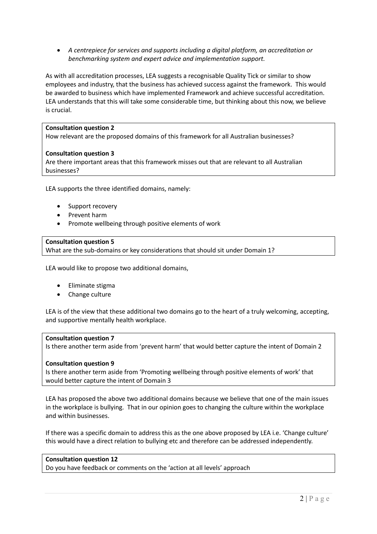• *A centrepiece for services and supports including a digital platform, an accreditation or benchmarking system and expert advice and implementation support.*

As with all accreditation processes, LEA suggests a recognisable Quality Tick or similar to show employees and industry, that the business has achieved success against the framework. This would be awarded to business which have implemented Framework and achieve successful accreditation. LEA understands that this will take some considerable time, but thinking about this now, we believe is crucial.

## **Consultation question 2**

How relevant are the proposed domains of this framework for all Australian businesses?

### **Consultation question 3**

Are there important areas that this framework misses out that are relevant to all Australian businesses?

LEA supports the three identified domains, namely:

- Support recovery
- Prevent harm
- Promote wellbeing through positive elements of work

#### **Consultation question 5**

What are the sub-domains or key considerations that should sit under Domain 1?

LEA would like to propose two additional domains,

- Eliminate stigma
- Change culture

LEA is of the view that these additional two domains go to the heart of a truly welcoming, accepting, and supportive mentally health workplace.

### **Consultation question 7**

Is there another term aside from 'prevent harm' that would better capture the intent of Domain 2

### **Consultation question 9**

Is there another term aside from 'Promoting wellbeing through positive elements of work' that would better capture the intent of Domain 3

LEA has proposed the above two additional domains because we believe that one of the main issues in the workplace is bullying. That in our opinion goes to changing the culture within the workplace and within businesses.

If there was a specific domain to address this as the one above proposed by LEA i.e. 'Change culture' this would have a direct relation to bullying etc and therefore can be addressed independently.

#### **Consultation question 12**

Do you have feedback or comments on the 'action at all levels' approach